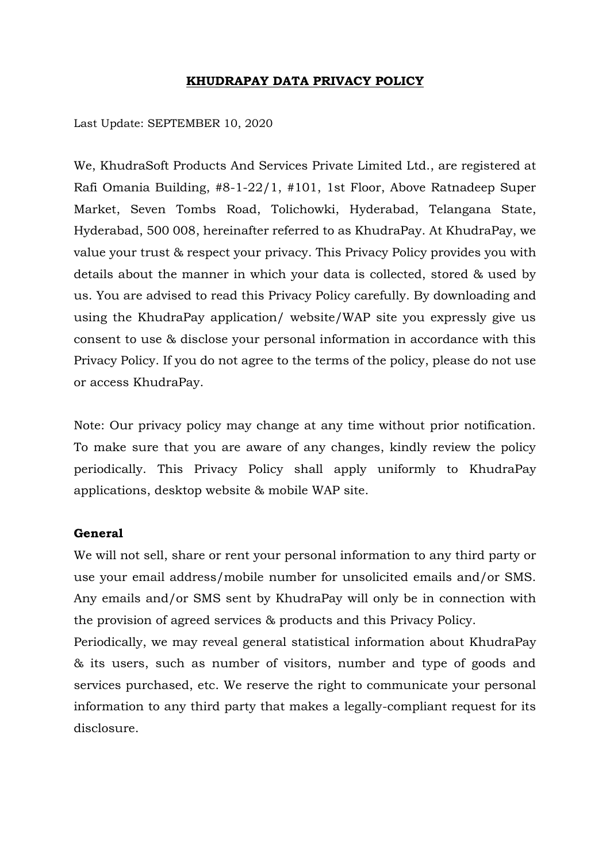## **KHUDRAPAY DATA PRIVACY POLICY**

Last Update: SEPTEMBER 10, 2020

We, KhudraSoft Products And Services Private Limited Ltd., are registered at Rafi Omania Building, #8-1-22/1, #101, 1st Floor, Above Ratnadeep Super Market, Seven Tombs Road, Tolichowki, Hyderabad, Telangana State, Hyderabad, 500 008, hereinafter referred to as KhudraPay. At KhudraPay, we value your trust & respect your privacy. This Privacy Policy provides you with details about the manner in which your data is collected, stored & used by us. You are advised to read this Privacy Policy carefully. By downloading and using the KhudraPay application/ website/WAP site you expressly give us consent to use & disclose your personal information in accordance with this Privacy Policy. If you do not agree to the terms of the policy, please do not use or access KhudraPay.

Note: Our privacy policy may change at any time without prior notification. To make sure that you are aware of any changes, kindly review the policy periodically. This Privacy Policy shall apply uniformly to KhudraPay applications, desktop website & mobile WAP site.

## **General**

We will not sell, share or rent your personal information to any third party or use your email address/mobile number for unsolicited emails and/or SMS. Any emails and/or SMS sent by KhudraPay will only be in connection with the provision of agreed services & products and this Privacy Policy.

Periodically, we may reveal general statistical information about KhudraPay & its users, such as number of visitors, number and type of goods and services purchased, etc. We reserve the right to communicate your personal information to any third party that makes a legally-compliant request for its disclosure.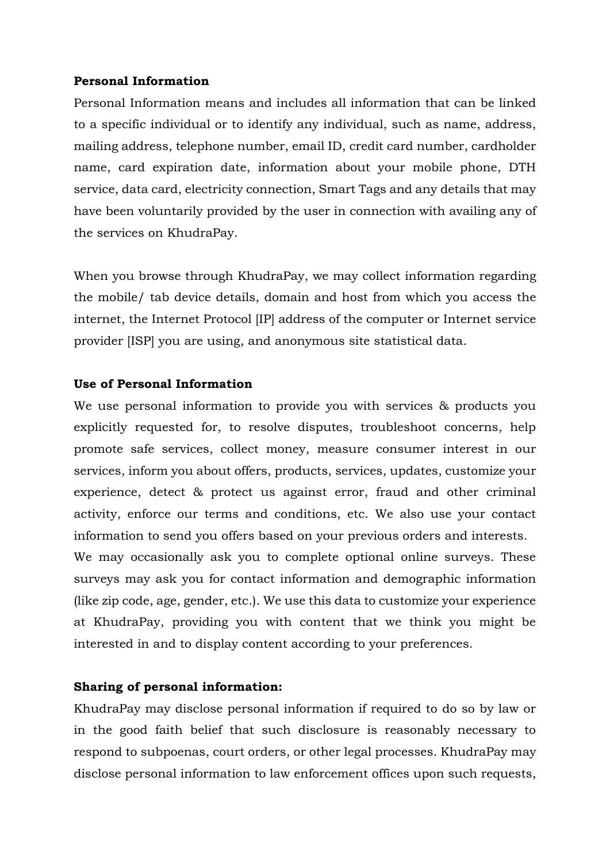# **Personal Information**

Personal Information means and includes all information that can be linked to a specific individual or to identify any individual, such as name, address, mailing address, telephone number, email ID, credit card number, cardholder name, card expiration date, information about your mobile phone, DTH service, data card, electricity connection, Smart Tags and any details that may have been voluntarily provided by the user in connection with availing any of the services on KhudraPay.

When you browse through KhudraPay, we may collect information regarding the mobile/ tab device details, domain and host from which you access the internet, the Internet Protocol [IP] address of the computer or Internet service provider [ISP] you are using, and anonymous site statistical data.

# **Use of Personal Information**

We use personal information to provide you with services & products you explicitly requested for, to resolve disputes, troubleshoot concerns, help promote safe services, collect money, measure consumer interest in our services, inform you about offers, products, services, updates, customize your experience, detect & protect us against error, fraud and other criminal activity, enforce our terms and conditions, etc. We also use your contact information to send you offers based on your previous orders and interests.

We may occasionally ask you to complete optional online surveys. These surveys may ask you for contact information and demographic information (like zip code, age, gender, etc.). We use this data to customize your experience at KhudraPay, providing you with content that we think you might be interested in and to display content according to your preferences.

# **Sharing of personal information:**

KhudraPay may disclose personal information if required to do so by law or in the good faith belief that such disclosure is reasonably necessary to respond to subpoenas, court orders, or other legal processes. KhudraPay may disclose personal information to law enforcement offices upon such requests,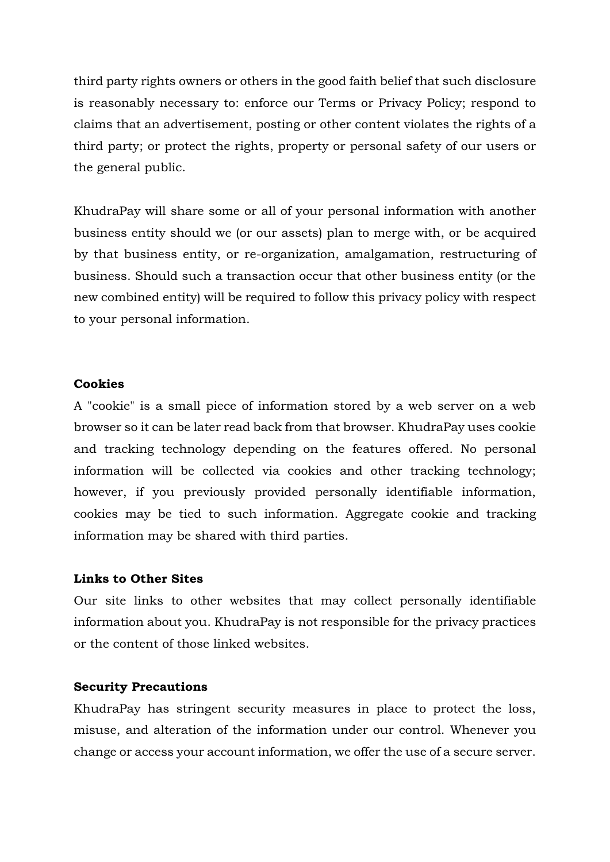third party rights owners or others in the good faith belief that such disclosure is reasonably necessary to: enforce our Terms or Privacy Policy; respond to claims that an advertisement, posting or other content violates the rights of a third party; or protect the rights, property or personal safety of our users or the general public.

KhudraPay will share some or all of your personal information with another business entity should we (or our assets) plan to merge with, or be acquired by that business entity, or re-organization, amalgamation, restructuring of business. Should such a transaction occur that other business entity (or the new combined entity) will be required to follow this privacy policy with respect to your personal information.

### **Cookies**

A "cookie" is a small piece of information stored by a web server on a web browser so it can be later read back from that browser. KhudraPay uses cookie and tracking technology depending on the features offered. No personal information will be collected via cookies and other tracking technology; however, if you previously provided personally identifiable information, cookies may be tied to such information. Aggregate cookie and tracking information may be shared with third parties.

## **Links to Other Sites**

Our site links to other websites that may collect personally identifiable information about you. KhudraPay is not responsible for the privacy practices or the content of those linked websites.

#### **Security Precautions**

KhudraPay has stringent security measures in place to protect the loss, misuse, and alteration of the information under our control. Whenever you change or access your account information, we offer the use of a secure server.